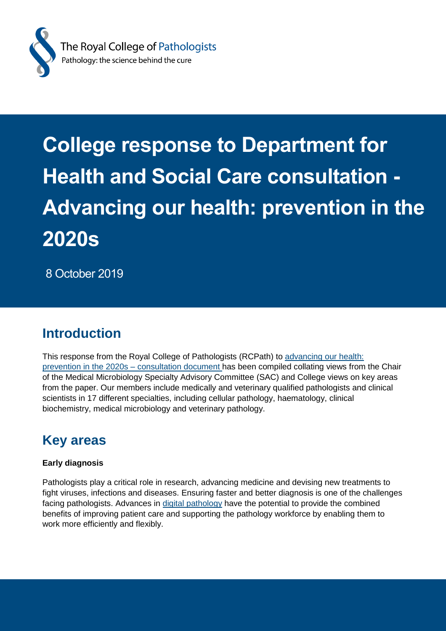

# **College response to Department for Health and Social Care consultation - Advancing our health: prevention in the 2020s**

8 October 2019

# **Introduction**

This response from the Royal College of Pathologists (RCPath) to [advancing our health:](https://www.gov.uk/government/consultations/advancing-our-health-prevention-in-the-2020s/advancing-our-health-prevention-in-the-2020s-consultation-document)  [prevention in the 2020s –](https://www.gov.uk/government/consultations/advancing-our-health-prevention-in-the-2020s/advancing-our-health-prevention-in-the-2020s-consultation-document) consultation document has been compiled collating views from the Chair of the Medical Microbiology Specialty Advisory Committee (SAC) and College views on key areas from the paper. Our members include medically and veterinary qualified pathologists and clinical scientists in 17 different specialties, including cellular pathology, haematology, clinical biochemistry, medical microbiology and veterinary pathology.

# **Key areas**

## **Early diagnosis**

Pathologists play a critical role in research, advancing medicine and devising new treatments to fight viruses, infections and diseases. Ensuring faster and better diagnosis is one of the challenges facing pathologists. Advances in [digital pathology](https://www.rcpath.org/discover-pathology/public-affairs/digital-pathology.html) have the potential to provide the combined benefits of improving patient care and supporting the pathology workforce by enabling them to work more efficiently and flexibly.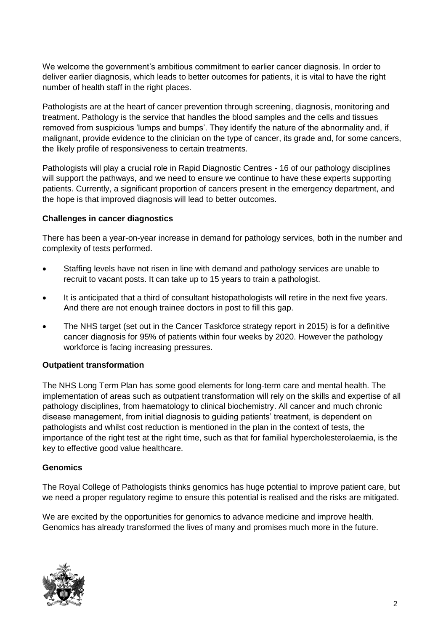We welcome the government's ambitious commitment to earlier cancer diagnosis. In order to deliver earlier diagnosis, which leads to better outcomes for patients, it is vital to have the right number of health staff in the right places.

Pathologists are at the heart of cancer prevention through screening, diagnosis, monitoring and treatment. Pathology is the service that handles the blood samples and the cells and tissues removed from suspicious 'lumps and bumps'. They identify the nature of the abnormality and, if malignant, provide evidence to the clinician on the type of cancer, its grade and, for some cancers, the likely profile of responsiveness to certain treatments.

Pathologists will play a crucial role in Rapid Diagnostic Centres - 16 of our pathology disciplines will support the pathways, and we need to ensure we continue to have these experts supporting patients. Currently, a significant proportion of cancers present in the emergency department, and the hope is that improved diagnosis will lead to better outcomes.

### **Challenges in cancer diagnostics**

There has been a year-on-year increase in demand for pathology services, both in the number and complexity of tests performed.

- Staffing levels have not risen in line with demand and pathology services are unable to recruit to vacant posts. It can take up to 15 years to train a pathologist.
- It is anticipated that a third of consultant histopathologists will retire in the next five years. And there are not enough trainee doctors in post to fill this gap.
- The NHS target (set out in the Cancer Taskforce strategy report in 2015) is for a definitive cancer diagnosis for 95% of patients within four weeks by 2020. However the pathology workforce is facing increasing pressures.

#### **Outpatient transformation**

The NHS Long Term Plan has some good elements for long-term care and mental health. The implementation of areas such as outpatient transformation will rely on the skills and expertise of all pathology disciplines, from haematology to clinical biochemistry. All cancer and much chronic disease management, from initial diagnosis to guiding patients' treatment, is dependent on pathologists and whilst cost reduction is mentioned in the plan in the context of tests, the importance of the right test at the right time, such as that for familial hypercholesterolaemia, is the key to effective good value healthcare.

#### **Genomics**

The Royal College of Pathologists thinks genomics has huge potential to improve patient care, but we need a proper regulatory regime to ensure this potential is realised and the risks are mitigated.

We are excited by the opportunities for genomics to advance medicine and improve health. Genomics has already transformed the lives of many and promises much more in the future.

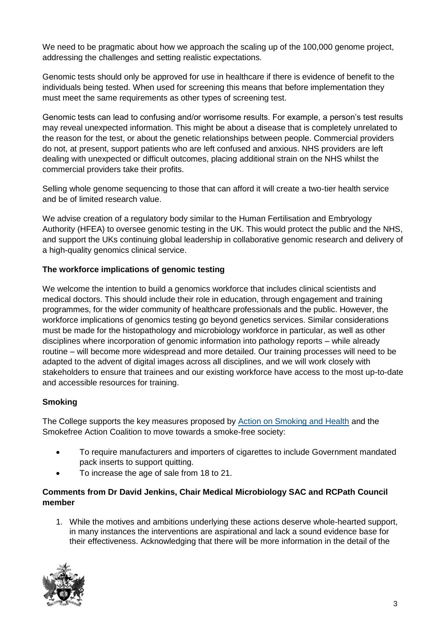We need to be pragmatic about how we approach the scaling up of the 100,000 genome project, addressing the challenges and setting realistic expectations.

Genomic tests should only be approved for use in healthcare if there is evidence of benefit to the individuals being tested. When used for screening this means that before implementation they must meet the same requirements as other types of screening test.

Genomic tests can lead to confusing and/or worrisome results. For example, a person's test results may reveal unexpected information. This might be about a disease that is completely unrelated to the reason for the test, or about the genetic relationships between people. Commercial providers do not, at present, support patients who are left confused and anxious. NHS providers are left dealing with unexpected or difficult outcomes, placing additional strain on the NHS whilst the commercial providers take their profits.

Selling whole genome sequencing to those that can afford it will create a two-tier health service and be of limited research value.

We advise creation of a regulatory body similar to the Human Fertilisation and Embryology Authority (HFEA) to oversee genomic testing in the UK. This would protect the public and the NHS, and support the UKs continuing global leadership in collaborative genomic research and delivery of a high-quality genomics clinical service.

### **The workforce implications of genomic testing**

We welcome the intention to build a genomics workforce that includes clinical scientists and medical doctors. This should include their role in education, through engagement and training programmes, for the wider community of healthcare professionals and the public. However, the workforce implications of genomics testing go beyond genetics services. Similar considerations must be made for the histopathology and microbiology workforce in particular, as well as other disciplines where incorporation of genomic information into pathology reports – while already routine – will become more widespread and more detailed. Our training processes will need to be adapted to the advent of digital images across all disciplines, and we will work closely with stakeholders to ensure that trainees and our existing workforce have access to the most up-to-date and accessible resources for training.

### **Smoking**

The College supports the key measures proposed by [Action on Smoking and Health](https://ash.org.uk/home/) and the Smokefree Action Coalition to move towards a smoke-free society:

- To require manufacturers and importers of cigarettes to include Government mandated pack inserts to support quitting.
- To increase the age of sale from 18 to 21.

### **Comments from Dr David Jenkins, Chair Medical Microbiology SAC and RCPath Council member**

1. While the motives and ambitions underlying these actions deserve whole-hearted support, in many instances the interventions are aspirational and lack a sound evidence base for their effectiveness. Acknowledging that there will be more information in the detail of the

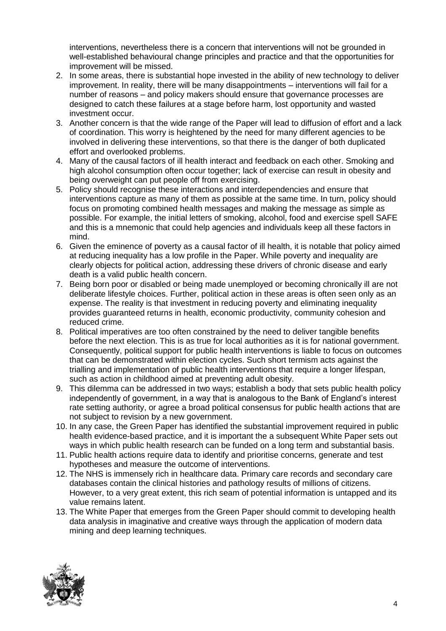interventions, nevertheless there is a concern that interventions will not be grounded in well-established behavioural change principles and practice and that the opportunities for improvement will be missed.

- 2. In some areas, there is substantial hope invested in the ability of new technology to deliver improvement. In reality, there will be many disappointments – interventions will fail for a number of reasons – and policy makers should ensure that governance processes are designed to catch these failures at a stage before harm, lost opportunity and wasted investment occur.
- 3. Another concern is that the wide range of the Paper will lead to diffusion of effort and a lack of coordination. This worry is heightened by the need for many different agencies to be involved in delivering these interventions, so that there is the danger of both duplicated effort and overlooked problems.
- 4. Many of the causal factors of ill health interact and feedback on each other. Smoking and high alcohol consumption often occur together; lack of exercise can result in obesity and being overweight can put people off from exercising.
- 5. Policy should recognise these interactions and interdependencies and ensure that interventions capture as many of them as possible at the same time. In turn, policy should focus on promoting combined health messages and making the message as simple as possible. For example, the initial letters of smoking, alcohol, food and exercise spell SAFE and this is a mnemonic that could help agencies and individuals keep all these factors in mind.
- 6. Given the eminence of poverty as a causal factor of ill health, it is notable that policy aimed at reducing inequality has a low profile in the Paper. While poverty and inequality are clearly objects for political action, addressing these drivers of chronic disease and early death is a valid public health concern.
- 7. Being born poor or disabled or being made unemployed or becoming chronically ill are not deliberate lifestyle choices. Further, political action in these areas is often seen only as an expense. The reality is that investment in reducing poverty and eliminating inequality provides guaranteed returns in health, economic productivity, community cohesion and reduced crime.
- 8. Political imperatives are too often constrained by the need to deliver tangible benefits before the next election. This is as true for local authorities as it is for national government. Consequently, political support for public health interventions is liable to focus on outcomes that can be demonstrated within election cycles. Such short termism acts against the trialling and implementation of public health interventions that require a longer lifespan, such as action in childhood aimed at preventing adult obesity.
- 9. This dilemma can be addressed in two ways; establish a body that sets public health policy independently of government, in a way that is analogous to the Bank of England's interest rate setting authority, or agree a broad political consensus for public health actions that are not subject to revision by a new government.
- 10. In any case, the Green Paper has identified the substantial improvement required in public health evidence-based practice, and it is important the a subsequent White Paper sets out ways in which public health research can be funded on a long term and substantial basis.
- 11. Public health actions require data to identify and prioritise concerns, generate and test hypotheses and measure the outcome of interventions.
- 12. The NHS is immensely rich in healthcare data. Primary care records and secondary care databases contain the clinical histories and pathology results of millions of citizens. However, to a very great extent, this rich seam of potential information is untapped and its value remains latent.
- 13. The White Paper that emerges from the Green Paper should commit to developing health data analysis in imaginative and creative ways through the application of modern data mining and deep learning techniques.

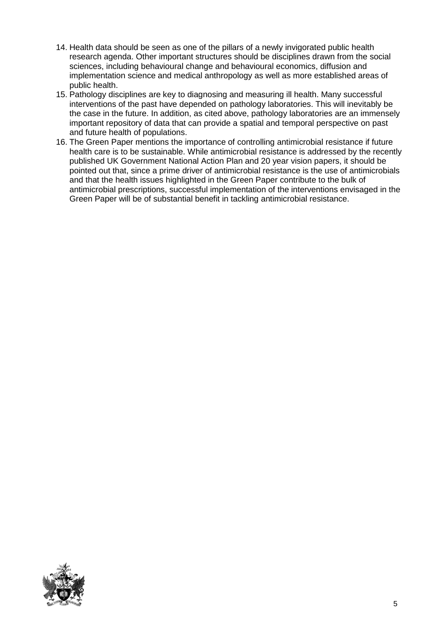- 14. Health data should be seen as one of the pillars of a newly invigorated public health research agenda. Other important structures should be disciplines drawn from the social sciences, including behavioural change and behavioural economics, diffusion and implementation science and medical anthropology as well as more established areas of public health.
- 15. Pathology disciplines are key to diagnosing and measuring ill health. Many successful interventions of the past have depended on pathology laboratories. This will inevitably be the case in the future. In addition, as cited above, pathology laboratories are an immensely important repository of data that can provide a spatial and temporal perspective on past and future health of populations.
- 16. The Green Paper mentions the importance of controlling antimicrobial resistance if future health care is to be sustainable. While antimicrobial resistance is addressed by the recently published UK Government National Action Plan and 20 year vision papers, it should be pointed out that, since a prime driver of antimicrobial resistance is the use of antimicrobials and that the health issues highlighted in the Green Paper contribute to the bulk of antimicrobial prescriptions, successful implementation of the interventions envisaged in the Green Paper will be of substantial benefit in tackling antimicrobial resistance.